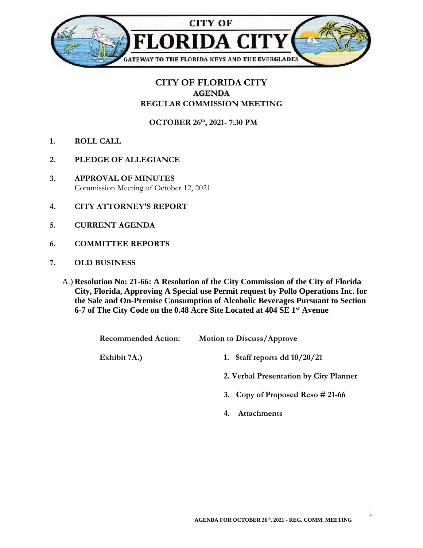

## **CITY OF FLORIDA CITY AGENDA REGULAR COMMISSION MEETING**

**OCTOBER 26th , 2021- 7:30 PM**

- **1. ROLL CALL**
- **2. PLEDGE OF ALLEGIANCE**
- **3. APPROVAL OF MINUTES** Commission Meeting of October 12, 2021
- **4. CITY ATTORNEY'S REPORT**
- **5. CURRENT AGENDA**
- **6. COMMITTEE REPORTS**
- **7. OLD BUSINESS**
	- A.) **Resolution No: 21-66: A Resolution of the City Commission of the City of Florida City, Florida, Approving A Special use Permit request by Pollo Operations Inc. for the Sale and On-Premise Consumption of Alcoholic Beverages Pursuant to Section 6-7 of The City Code on the 0.48 Acre Site Located at 404 SE 1st Avenue**

| <b>Recommended Action:</b> | <b>Motion to Discuss/Approve</b> |
|----------------------------|----------------------------------|
| Exhibit 7A.)               | 1. Staff reports dd $10/20/21$   |

- **2. Verbal Presentation by City Planner**
- **3. Copy of Proposed Reso # 21-66**
- **4. Attachments**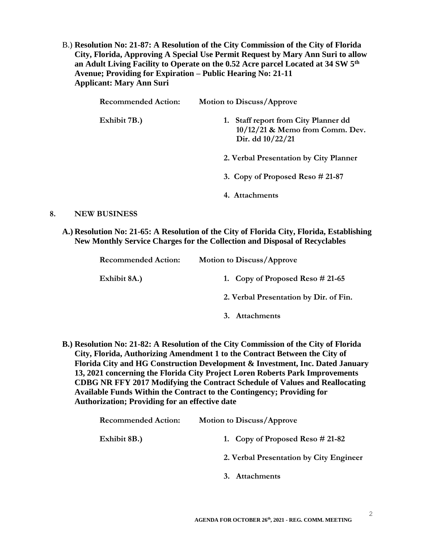B.) **Resolution No: 21-87: A Resolution of the City Commission of the City of Florida City, Florida, Approving A Special Use Permit Request by Mary Ann Suri to allow an Adult Living Facility to Operate on the 0.52 Acre parcel Located at 34 SW 5th Avenue; Providing for Expiration – Public Hearing No: 21-11 Applicant: Mary Ann Suri**

| <b>Recommended Action:</b> | <b>Motion to Discuss/Approve</b>                                                              |
|----------------------------|-----------------------------------------------------------------------------------------------|
| Exhibit 7B.)               | 1. Staff report from City Planner dd<br>$10/12/21$ & Memo from Comm. Dev.<br>Dir. dd 10/22/21 |
|                            | 2. Verbal Presentation by City Planner                                                        |
|                            | 3. Copy of Proposed Reso $#21-87$                                                             |
|                            | 4. Attachments                                                                                |
|                            |                                                                                               |

## **8. NEW BUSINESS**

**A.) Resolution No: 21-65: A Resolution of the City of Florida City, Florida, Establishing New Monthly Service Charges for the Collection and Disposal of Recyclables**

| <b>Recommended Action:</b> | <b>Motion to Discuss/Approve</b>       |
|----------------------------|----------------------------------------|
| Exhibit 8A.)               | 1. Copy of Proposed Reso $\# 21-65$    |
|                            | 2. Verbal Presentation by Dir. of Fin. |
|                            | Attachments                            |

**B.) Resolution No: 21-82: A Resolution of the City Commission of the City of Florida City, Florida, Authorizing Amendment 1 to the Contract Between the City of Florida City and HG Construction Development & Investment, Inc. Dated January 13, 2021 concerning the Florida City Project Loren Roberts Park Improvements CDBG NR FFY 2017 Modifying the Contract Schedule of Values and Reallocating Available Funds Within the Contract to the Contingency; Providing for Authorization; Providing for an effective date**

| <b>Recommended Action:</b> | <b>Motion to Discuss/Approve</b>        |
|----------------------------|-----------------------------------------|
| Exhibit 8B.)               | 1. Copy of Proposed Reso $\#$ 21-82     |
|                            | 2. Verbal Presentation by City Engineer |
|                            | 3. Attachments                          |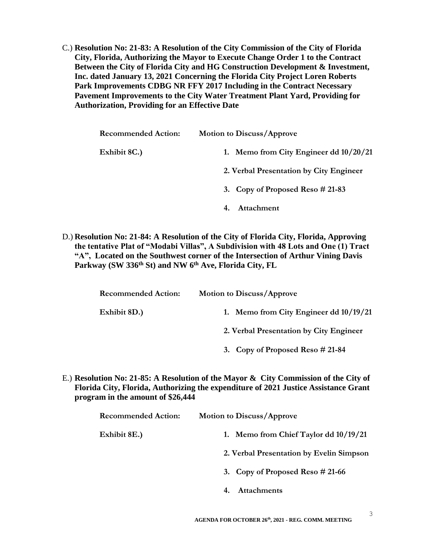C.) **Resolution No: 21-83: A Resolution of the City Commission of the City of Florida City, Florida, Authorizing the Mayor to Execute Change Order 1 to the Contract Between the City of Florida City and HG Construction Development & Investment, Inc. dated January 13, 2021 Concerning the Florida City Project Loren Roberts Park Improvements CDBG NR FFY 2017 Including in the Contract Necessary Pavement Improvements to the City Water Treatment Plant Yard, Providing for Authorization, Providing for an Effective Date**

| <b>Recommended Action:</b> | <b>Motion to Discuss/Approve</b>         |
|----------------------------|------------------------------------------|
| Exhibit 8C.)               | 1. Memo from City Engineer dd $10/20/21$ |
|                            | 2. Verbal Presentation by City Engineer  |
|                            | 3. Copy of Proposed Reso $\#$ 21-83      |
|                            | Attachment                               |

D.) **Resolution No: 21-84: A Resolution of the City of Florida City, Florida, Approving the tentative Plat of "Modabi Villas", A Subdivision with 48 Lots and One (1) Tract "A", Located on the Southwest corner of the Intersection of Arthur Vining Davis Parkway (SW 336th St) and NW 6th Ave, Florida City, FL**

| <b>Motion to Discuss/Approve</b>         |
|------------------------------------------|
| 1. Memo from City Engineer dd $10/19/21$ |
| 2. Verbal Presentation by City Engineer  |
| 3. Copy of Proposed Reso $\#$ 21-84      |
|                                          |

E.) **Resolution No: 21-85: A Resolution of the Mayor & City Commission of the City of Florida City, Florida, Authorizing the expenditure of 2021 Justice Assistance Grant program in the amount of \$26,444**

| <b>Recommended Action:</b> | <b>Motion to Discuss/Approve</b>         |
|----------------------------|------------------------------------------|
| Exhibit 8E.)               | 1. Memo from Chief Taylor dd $10/19/21$  |
|                            | 2. Verbal Presentation by Evelin Simpson |
|                            | 3. Copy of Proposed Reso $\#$ 21-66      |
|                            | <b>Attachments</b>                       |

3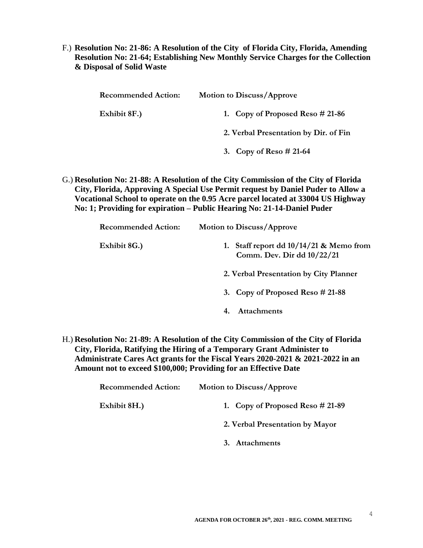F.) **Resolution No: 21-86: A Resolution of the City of Florida City, Florida, Amending Resolution No: 21-64; Establishing New Monthly Service Charges for the Collection & Disposal of Solid Waste**

| <b>Recommended Action:</b> | <b>Motion to Discuss/Approve</b>      |
|----------------------------|---------------------------------------|
| Exhibit 8F.)               | 1. Copy of Proposed Reso $#21-86$     |
|                            | 2. Verbal Presentation by Dir. of Fin |
|                            | 3. Copy of Reso $#21-64$              |

G.) **Resolution No: 21-88: A Resolution of the City Commission of the City of Florida City, Florida, Approving A Special Use Permit request by Daniel Puder to Allow a Vocational School to operate on the 0.95 Acre parcel located at 33004 US Highway No: 1; Providing for expiration – Public Hearing No: 21-14-Daniel Puder**

| <b>Recommended Action:</b> | <b>Motion to Discuss/Approve</b>                                        |
|----------------------------|-------------------------------------------------------------------------|
| Exhibit 8G.)               | 1. Staff report dd $10/14/21$ & Memo from<br>Comm. Dev. Dir dd 10/22/21 |
|                            | 2. Verbal Presentation by City Planner                                  |
|                            | 3. Copy of Proposed Reso $\#$ 21-88                                     |
|                            | <b>Attachments</b>                                                      |

H.) **Resolution No: 21-89: A Resolution of the City Commission of the City of Florida City, Florida, Ratifying the Hiring of a Temporary Grant Administer to Administrate Cares Act grants for the Fiscal Years 2020-2021 & 2021-2022 in an Amount not to exceed \$100,000; Providing for an Effective Date**

| <b>Recommended Action:</b> | <b>Motion to Discuss/Approve</b>  |
|----------------------------|-----------------------------------|
| Exhibit 8H.)               | 1. Copy of Proposed Reso $#21-89$ |
|                            | 2. Verbal Presentation by Mayor   |
|                            | 3. Attachments                    |